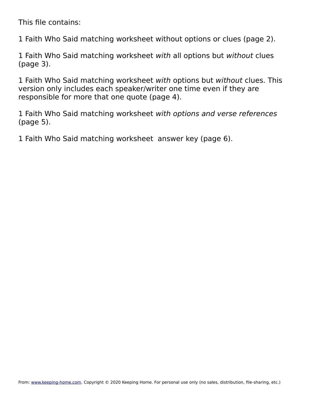This file contains:

1 Faith Who Said matching worksheet without options or clues (page 2).

1 Faith Who Said matching worksheet with all options but without clues (page 3).

1 Faith Who Said matching worksheet with options but without clues. This version only includes each speaker/writer one time even if they are responsible for more that one quote (page 4).

1 Faith Who Said matching worksheet with options and verse references (page 5).

1 Faith Who Said matching worksheet answer key (page 6).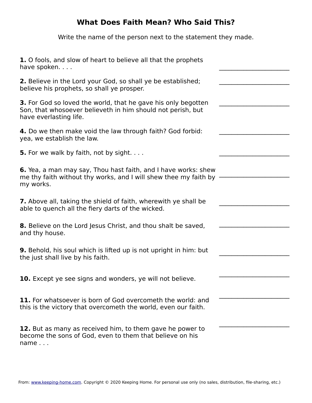Write the name of the person next to the statement they made.

| 1. O fools, and slow of heart to believe all that the prophets<br>have spoken                                                                                 |
|---------------------------------------------------------------------------------------------------------------------------------------------------------------|
| <b>2.</b> Believe in the Lord your God, so shall ye be established;<br>believe his prophets, so shall ye prosper.                                             |
| <b>3.</b> For God so loved the world, that he gave his only begotten<br>Son, that whosoever believeth in him should not perish, but<br>have everlasting life. |
| 4. Do we then make void the law through faith? God forbid:<br>yea, we establish the law.                                                                      |
| <b>5.</b> For we walk by faith, not by sight.                                                                                                                 |
| <b>6.</b> Yea, a man may say, Thou hast faith, and I have works: shew<br>me thy faith without thy works, and I will shew thee my faith by<br>my works.        |
| <b>7.</b> Above all, taking the shield of faith, wherewith ye shall be<br>able to quench all the fiery darts of the wicked.                                   |
| 8. Believe on the Lord Jesus Christ, and thou shalt be saved,<br>and thy house.                                                                               |
| <b>9.</b> Behold, his soul which is lifted up is not upright in him: but<br>the just shall live by his faith.                                                 |
| 10. Except ye see signs and wonders, ye will not believe.                                                                                                     |
| 11. For whatsoever is born of God overcometh the world: and<br>this is the victory that overcometh the world, even our faith.                                 |
| 12. But as many as received him, to them gave he power to<br>become the sons of God, even to them that believe on his<br>$name \dots$                         |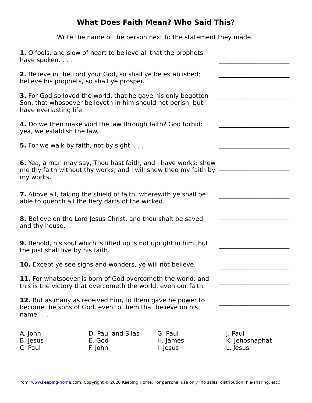Write the name of the person next to the statement they made.

| 1. O fools, and slow of heart to believe all that the prophets<br>have spoken                                                                                 |                                        |                                                                                                                                           |                                       |
|---------------------------------------------------------------------------------------------------------------------------------------------------------------|----------------------------------------|-------------------------------------------------------------------------------------------------------------------------------------------|---------------------------------------|
| <b>2.</b> Believe in the Lord your God, so shall ye be established;<br>believe his prophets, so shall ye prosper.                                             |                                        |                                                                                                                                           |                                       |
| <b>3.</b> For God so loved the world, that he gave his only begotten<br>Son, that whosoever believeth in him should not perish, but<br>have everlasting life. |                                        |                                                                                                                                           |                                       |
| 4. Do we then make void the law through faith? God forbid:<br>yea, we establish the law.                                                                      |                                        |                                                                                                                                           |                                       |
| <b>5.</b> For we walk by faith, not by sight.                                                                                                                 |                                        |                                                                                                                                           |                                       |
| my works.                                                                                                                                                     |                                        | <b>6.</b> Yea, a man may say, Thou hast faith, and I have works: shew<br>me thy faith without thy works, and I will shew thee my faith by |                                       |
| <b>7.</b> Above all, taking the shield of faith, wherewith ye shall be<br>able to quench all the fiery darts of the wicked.                                   |                                        |                                                                                                                                           |                                       |
| <b>8.</b> Believe on the Lord Jesus Christ, and thou shalt be saved,<br>and thy house.                                                                        |                                        |                                                                                                                                           |                                       |
| <b>9.</b> Behold, his soul which is lifted up is not upright in him: but<br>the just shall live by his faith.                                                 |                                        |                                                                                                                                           |                                       |
| <b>10.</b> Except ye see signs and wonders, ye will not believe.                                                                                              |                                        |                                                                                                                                           |                                       |
| 11. For whatsoever is born of God overcometh the world: and<br>this is the victory that overcometh the world, even our faith.                                 |                                        |                                                                                                                                           |                                       |
| 12. But as many as received him, to them gave he power to<br>become the sons of God, even to them that believe on his<br>name $\ldots$                        |                                        |                                                                                                                                           |                                       |
| A. John<br>B. Jesus<br>C. Paul                                                                                                                                | D. Paul and Silas<br>E. God<br>F. John | G. Paul<br>H. James<br>I. Jesus                                                                                                           | J. Paul<br>K. Jehoshaphat<br>L. Jesus |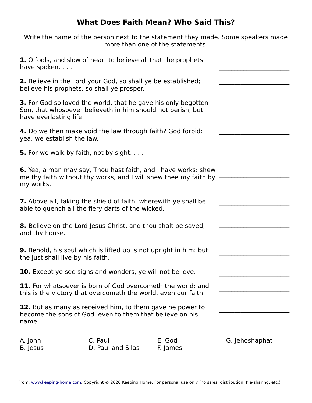Write the name of the person next to the statement they made. Some speakers made more than one of the statements.

| 1. O fools, and slow of heart to believe all that the prophets<br>have spoken                                                                                 |                                                                                                                                           |                    |                |
|---------------------------------------------------------------------------------------------------------------------------------------------------------------|-------------------------------------------------------------------------------------------------------------------------------------------|--------------------|----------------|
| <b>2.</b> Believe in the Lord your God, so shall ye be established;<br>believe his prophets, so shall ye prosper.                                             |                                                                                                                                           |                    |                |
| <b>3.</b> For God so loved the world, that he gave his only begotten<br>Son, that whosoever believeth in him should not perish, but<br>have everlasting life. |                                                                                                                                           |                    |                |
| 4. Do we then make void the law through faith? God forbid:<br>yea, we establish the law.                                                                      |                                                                                                                                           |                    |                |
| <b>5.</b> For we walk by faith, not by sight.                                                                                                                 |                                                                                                                                           |                    |                |
| my works.                                                                                                                                                     | <b>6.</b> Yea, a man may say, Thou hast faith, and I have works: shew<br>me thy faith without thy works, and I will shew thee my faith by |                    |                |
| <b>7.</b> Above all, taking the shield of faith, wherewith ye shall be<br>able to quench all the fiery darts of the wicked.                                   |                                                                                                                                           |                    |                |
| <b>8.</b> Believe on the Lord Jesus Christ, and thou shalt be saved,<br>and thy house.                                                                        |                                                                                                                                           |                    |                |
| <b>9.</b> Behold, his soul which is lifted up is not upright in him: but<br>the just shall live by his faith.                                                 |                                                                                                                                           |                    |                |
|                                                                                                                                                               | <b>10.</b> Except ye see signs and wonders, ye will not believe.                                                                          |                    |                |
| 11. For whatsoever is born of God overcometh the world: and<br>this is the victory that overcometh the world, even our faith.                                 |                                                                                                                                           |                    |                |
| 12. But as many as received him, to them gave he power to<br>become the sons of God, even to them that believe on his<br>$name \dots$                         |                                                                                                                                           |                    |                |
| A. John<br>B. Jesus                                                                                                                                           | C. Paul<br>D. Paul and Silas                                                                                                              | E. God<br>F. James | G. Jehoshaphat |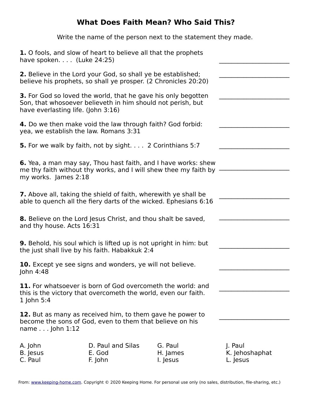Write the name of the person next to the statement they made.

| 1. O fools, and slow of heart to believe all that the prophets<br>have spoken. $\ldots$ (Luke 24:25)                                                               |                                        |                                 |                                       |  |  |
|--------------------------------------------------------------------------------------------------------------------------------------------------------------------|----------------------------------------|---------------------------------|---------------------------------------|--|--|
| <b>2.</b> Believe in the Lord your God, so shall ye be established;<br>believe his prophets, so shall ye prosper. (2 Chronicles 20:20)                             |                                        |                                 |                                       |  |  |
| 3. For God so loved the world, that he gave his only begotten<br>Son, that whosoever believeth in him should not perish, but<br>have everlasting life. (John 3:16) |                                        |                                 |                                       |  |  |
| 4. Do we then make void the law through faith? God forbid:<br>yea, we establish the law. Romans 3:31                                                               |                                        |                                 |                                       |  |  |
| <b>5.</b> For we walk by faith, not by sight. 2 Corinthians 5:7                                                                                                    |                                        |                                 |                                       |  |  |
| <b>6.</b> Yea, a man may say, Thou hast faith, and I have works: shew<br>me thy faith without thy works, and I will shew thee my faith by<br>my works. James 2:18  |                                        |                                 |                                       |  |  |
| <b>7.</b> Above all, taking the shield of faith, wherewith ye shall be<br>able to quench all the fiery darts of the wicked. Ephesians 6:16                         |                                        |                                 |                                       |  |  |
| <b>8.</b> Believe on the Lord Jesus Christ, and thou shalt be saved,<br>and thy house. Acts 16:31                                                                  |                                        |                                 |                                       |  |  |
| <b>9.</b> Behold, his soul which is lifted up is not upright in him: but<br>the just shall live by his faith. Habakkuk 2:4                                         |                                        |                                 |                                       |  |  |
| <b>10.</b> Except ye see signs and wonders, ye will not believe.<br>John 4:48                                                                                      |                                        |                                 |                                       |  |  |
| <b>11.</b> For whatsoever is born of God overcometh the world: and<br>this is the victory that overcometh the world, even our faith.<br>1 John $5:4$               |                                        |                                 |                                       |  |  |
| 12. But as many as received him, to them gave he power to<br>become the sons of God, even to them that believe on his<br>name $\ldots$ John 1:12                   |                                        |                                 |                                       |  |  |
| A. John<br>B. Jesus<br>C. Paul                                                                                                                                     | D. Paul and Silas<br>E. God<br>F. John | G. Paul<br>H. James<br>I. Jesus | J. Paul<br>K. Jehoshaphat<br>L. Jesus |  |  |